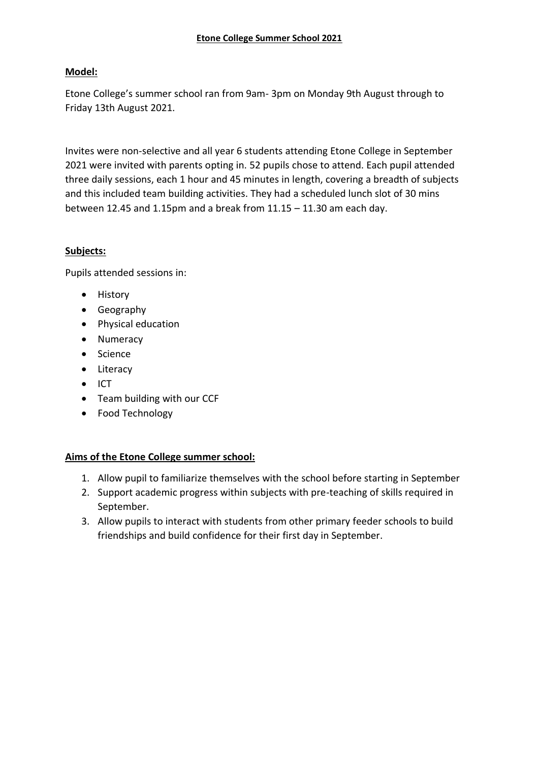# **Model:**

Etone College's summer school ran from 9am- 3pm on Monday 9th August through to Friday 13th August 2021.

Invites were non-selective and all year 6 students attending Etone College in September 2021 were invited with parents opting in. 52 pupils chose to attend. Each pupil attended three daily sessions, each 1 hour and 45 minutes in length, covering a breadth of subjects and this included team building activities. They had a scheduled lunch slot of 30 mins between 12.45 and 1.15pm and a break from 11.15 – 11.30 am each day.

# **Subjects:**

Pupils attended sessions in:

- History
- Geography
- Physical education
- Numeracy
- Science
- Literacy
- ICT
- Team building with our CCF
- Food Technology

# **Aims of the Etone College summer school:**

- 1. Allow pupil to familiarize themselves with the school before starting in September
- 2. Support academic progress within subjects with pre-teaching of skills required in September.
- 3. Allow pupils to interact with students from other primary feeder schools to build friendships and build confidence for their first day in September.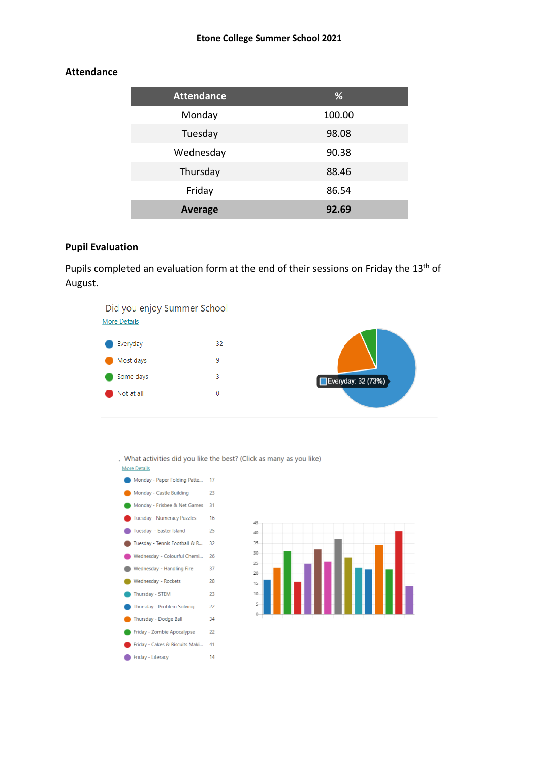#### **Attendance**

| <b>Attendance</b> | %      |
|-------------------|--------|
| Monday            | 100.00 |
| Tuesday           | 98.08  |
| Wednesday         | 90.38  |
| Thursday          | 88.46  |
| Friday            | 86.54  |
| <b>Average</b>    | 92.69  |

#### **Pupil Evaluation**

Pupils completed an evaluation form at the end of their sessions on Friday the 13<sup>th</sup> of August.



. What activities did you like the best? (Click as many as you like) **More Details** 

Monday - Paper Folding Patte... 17 Monday - Castle Building  $23$ Monday - Frisbee & Net Games 31 Tuesday - Numeracy Puzzles 16 Tuesday - Easter Island 25 Tuesday - Tennis Football & R... 32 Wednesday - Colourful Chemi... 26 Wednesday - Handling Fire 37 Wednesday - Rockets 28 Thursday - STEM 23 Thursday - Problem Solving 22 Thursday - Dodge Ball 34 Friday - Zombie Apocalypse 22 Friday - Cakes & Biscuits Maki... 41 Friday - Literacy  $14$ 

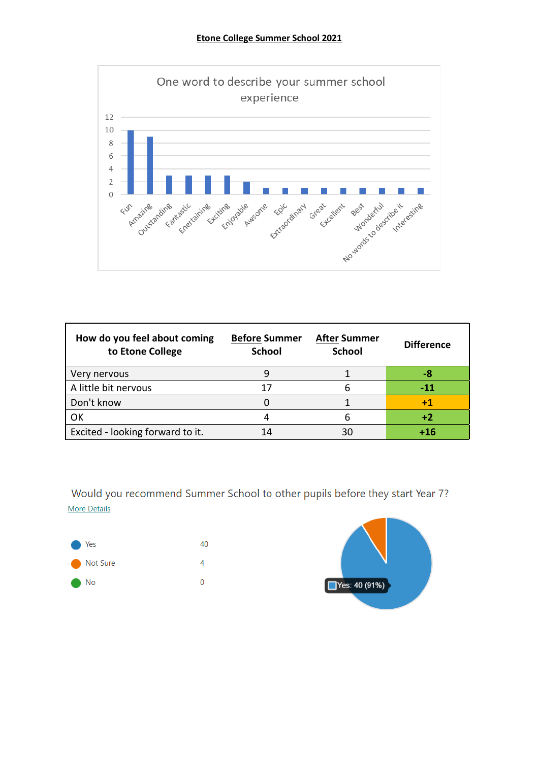

| How do you feel about coming<br>to Etone College | <b>Before Summer</b><br><b>School</b> | <b>After Summer</b><br><b>School</b> | <b>Difference</b> |
|--------------------------------------------------|---------------------------------------|--------------------------------------|-------------------|
| Very nervous                                     |                                       |                                      | -8                |
| A little bit nervous                             |                                       | 6                                    | $-11$             |
| Don't know                                       |                                       |                                      | 41                |
| OK                                               |                                       | 6                                    | $+2$              |
| Excited - looking forward to it.                 |                                       | 30                                   | +16               |

Would you recommend Summer School to other pupils before they start Year 7? **More Details**